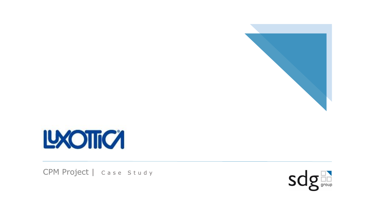



CPM Project | Case Study

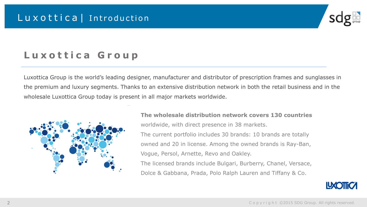

# Luxottica Group

Luxottica Group is the world's leading designer, manufacturer and distributor of prescription frames and sunglasses in the premium and luxury segments. Thanks to an extensive distribution network in both the retail business and in the wholesale Luxottica Group today is present in all major markets worldwide.



### **The wholesale distribution network covers 130 countries**  worldwide, with direct presence in 38 markets. The current portfolio includes 30 brands: 10 brands are totally owned and 20 in license. Among the owned brands is Ray-Ban, Vogue, Persol, Arnette, Revo and Oakley. The licensed brands include Bulgari, Burberry, Chanel, Versace, Dolce & Gabbana, Prada, Polo Ralph Lauren and Tiffany & Co.

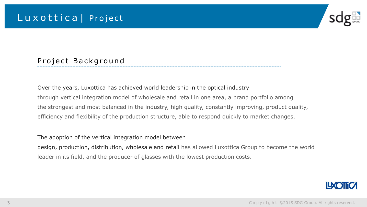

#### Project Background

### Over the years, Luxottica has achieved world leadership in the optical industry through vertical integration model of wholesale and retail in one area, a brand portfolio among the strongest and most balanced in the industry, high quality, constantly improving, product quality, efficiency and flexibility of the production structure, able to respond quickly to market changes.

The adoption of the vertical integration model between

design, production, distribution, wholesale and retail has allowed Luxottica Group to become the world leader in its field, and the producer of glasses with the lowest production costs.

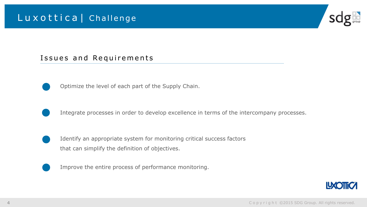### Luxottica | Challenge



#### Issues and Requirements



Optimize the level of each part of the Supply Chain.



Integrate processes in order to develop excellence in terms of the intercompany processes.



Identify an appropriate system for monitoring critical success factors that can simplify the definition of objectives.



Improve the entire process of performance monitoring.

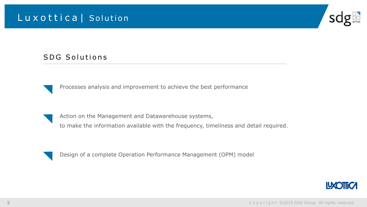## Luxottica | Solution



#### SDG Solutions



Processes analysis and improvement to achieve the best performance

Action on the Management and Datawarehouse systems,

to make the information available with the frequency, timeliness and detail required.



Design of a complete Operation Performance Management (OPM) model

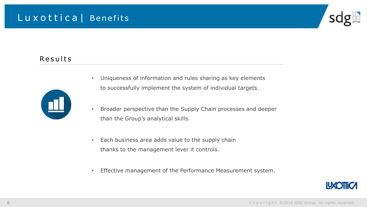### Luxottica | Benefits



#### Results



- Uniqueness of information and rules sharing as key elements to successfully implement the system of individual targets.
- Broader perspective than the Supply Chain processes and deeper than the Group's analytical skills.
- Each business area adds value to the supply chain thanks to the management lever it controls.
- Effective management of the Performance Measurement system.

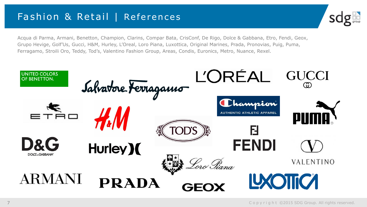## Fashion & Retail | References



Acqua di Parma, Armani, Benetton, Champion, Clarins, Compar Bata, CrisConf, De Rigo, Dolce & Gabbana, Etro, Fendi, Geox, Grupo Hevige, Golf'Us, Gucci, H&M, Hurley, L'Oreal, Loro Piana, Luxottica, Original Marines, Prada, Pronovias, Puig, Puma, Ferragamo, Stroili Oro, Teddy, Tod's, Valentino Fashion Group, Areas, Condis, Euronics, Metro, Nuance, Rexel.